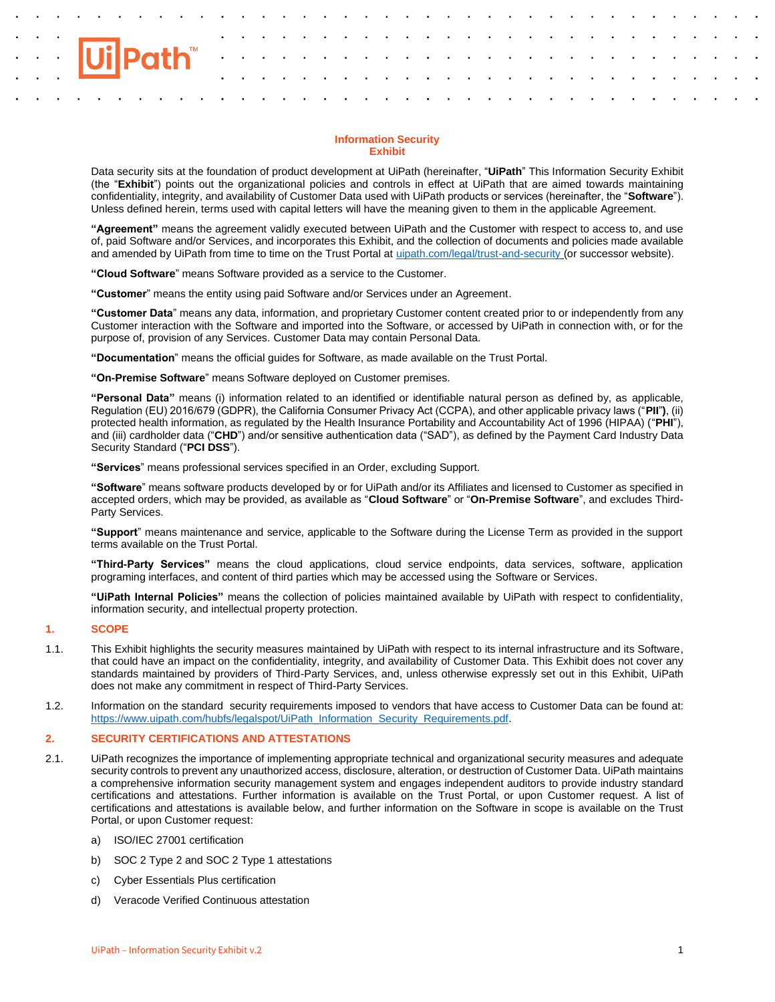# **Information Security Exhibit**

Data security sits at the foundation of product development at UiPath (hereinafter, "**UiPath**" This Information Security Exhibit (the "**Exhibit**") points out the organizational policies and controls in effect at UiPath that are aimed towards maintaining confidentiality, integrity, and availability of Customer Data used with UiPath products or services (hereinafter, the "**Software**"). Unless defined herein, terms used with capital letters will have the meaning given to them in the applicable Agreement.

**"Agreement"** means the agreement validly executed between UiPath and the Customer with respect to access to, and use of, paid Software and/or Services, and incorporates this Exhibit, and the collection of documents and policies made available and amended by UiPath from time to time on the Trust Portal at [uipath.com/legal/trust-and-security](http://uipath.com/legal/trust-and-security) (or successor website).

**"Cloud Software**" means Software provided as a service to the Customer.

**"Customer**" means the entity using paid Software and/or Services under an Agreement.

**"Customer Data**" means any data, information, and proprietary Customer content created prior to or independently from any Customer interaction with the Software and imported into the Software, or accessed by UiPath in connection with, or for the purpose of, provision of any Services. Customer Data may contain Personal Data.

**"Documentation**" means the official guides for Software, as made available on the Trust Portal.

**"On-Premise Software**" means Software deployed on Customer premises.

**"Personal Data"** means (i) information related to an identified or identifiable natural person as defined by, as applicable, Regulation (EU) 2016/679 (GDPR), the California Consumer Privacy Act (CCPA), and other applicable privacy laws ("**PII**"**)**, (ii) protected health information, as regulated by the Health Insurance Portability and Accountability Act of 1996 (HIPAA) ("**PHI**"), and (iii) cardholder data ("**CHD**") and/or sensitive authentication data ("SAD"), as defined by the Payment Card Industry Data Security Standard ("**PCI DSS**").

**"Services**" means professional services specified in an Order, excluding Support.

**"Software**" means software products developed by or for UiPath and/or its Affiliates and licensed to Customer as specified in accepted orders, which may be provided, as available as "**Cloud Software**" or "**On-Premise Software**", and excludes Third-Party Services.

**"Support**" means maintenance and service, applicable to the Software during the License Term as provided in the support terms available on the Trust Portal.

**"Third-Party Services"** means the cloud applications, cloud service endpoints, data services, software, application programing interfaces, and content of third parties which may be accessed using the Software or Services.

**"UiPath Internal Policies"** means the collection of policies maintained available by UiPath with respect to confidentiality, information security, and intellectual property protection.

# **1. SCOPE**

- 1.1. This Exhibit highlights the security measures maintained by UiPath with respect to its internal infrastructure and its Software, that could have an impact on the confidentiality, integrity, and availability of Customer Data. This Exhibit does not cover any standards maintained by providers of Third-Party Services, and, unless otherwise expressly set out in this Exhibit, UiPath does not make any commitment in respect of Third-Party Services.
- 1.2. Information on the standard security requirements imposed to vendors that have access to Customer Data can be found at: [https://www.uipath.com/hubfs/legalspot/UiPath\\_Information\\_Security\\_Requirements.pdf.](https://www.uipath.com/hubfs/legalspot/UiPath_Information_Security_Requirements.pdf)

# **2. SECURITY CERTIFICATIONS AND ATTESTATIONS**

- 2.1. UiPath recognizes the importance of implementing appropriate technical and organizational security measures and adequate security controls to prevent any unauthorized access, disclosure, alteration, or destruction of Customer Data. UiPath maintains a comprehensive information security management system and engages independent auditors to provide industry standard certifications and attestations. Further information is available on the Trust Portal, or upon Customer request. A list of certifications and attestations is available below, and further information on the Software in scope is available on the Trust Portal, or upon Customer request:
	- a) ISO/IEC 27001 certification
	- b) SOC 2 Type 2 and SOC 2 Type 1 attestations
	- c) Cyber Essentials Plus certification
	- d) Veracode Verified Continuous attestation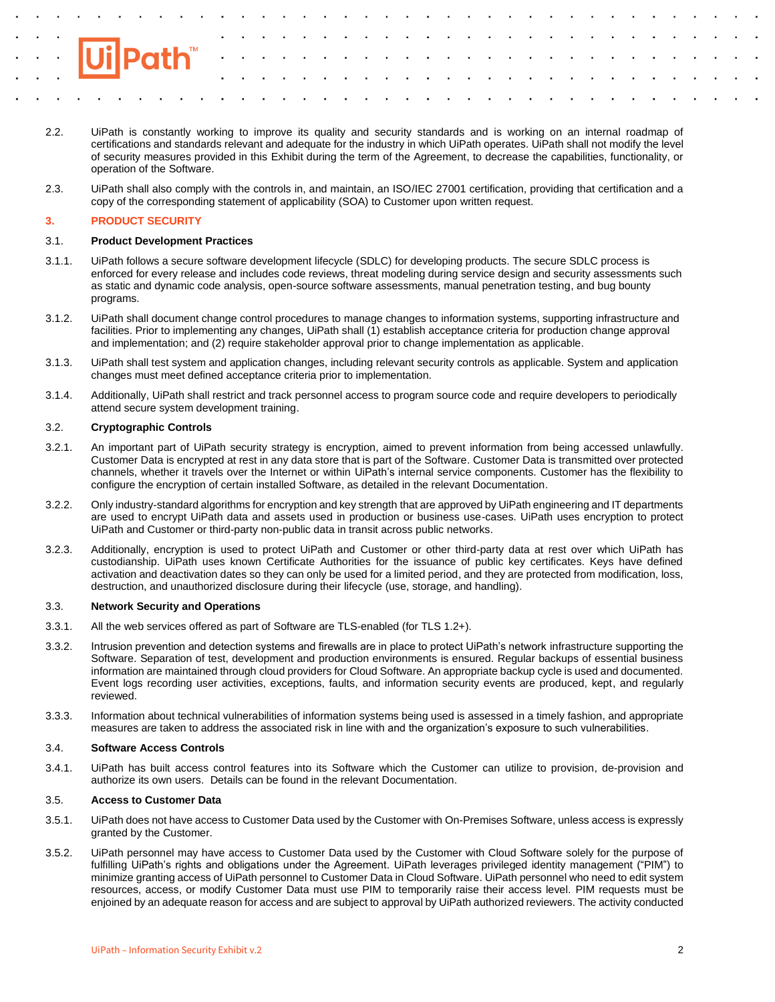

- 2.2. UiPath is constantly working to improve its quality and security standards and is working on an internal roadmap of certifications and standards relevant and adequate for the industry in which UiPath operates. UiPath shall not modify the level of security measures provided in this Exhibit during the term of the Agreement, to decrease the capabilities, functionality, or operation of the Software.
- 2.3. UiPath shall also comply with the controls in, and maintain, an ISO/IEC 27001 certification, providing that certification and a copy of the corresponding statement of applicability (SOA) to Customer upon written request.

# **3. PRODUCT SECURITY**

# 3.1. **Product Development Practices**

- 3.1.1. UiPath follows a secure software development lifecycle (SDLC) for developing products. The secure SDLC process is enforced for every release and includes code reviews, threat modeling during service design and security assessments such as static and dynamic code analysis, open-source software assessments, manual penetration testing, and bug bounty programs.
- 3.1.2. UiPath shall document change control procedures to manage changes to information systems, supporting infrastructure and facilities. Prior to implementing any changes, UiPath shall (1) establish acceptance criteria for production change approval and implementation; and (2) require stakeholder approval prior to change implementation as applicable.
- 3.1.3. UiPath shall test system and application changes, including relevant security controls as applicable. System and application changes must meet defined acceptance criteria prior to implementation.
- 3.1.4. Additionally, UiPath shall restrict and track personnel access to program source code and require developers to periodically attend secure system development training.

# 3.2. **Cryptographic Controls**

- 3.2.1. An important part of UiPath security strategy is encryption, aimed to prevent information from being accessed unlawfully. Customer Data is encrypted at rest in any data store that is part of the Software. Customer Data is transmitted over protected channels, whether it travels over the Internet or within UiPath's internal service components. Customer has the flexibility to configure the encryption of certain installed Software, as detailed in the relevant Documentation.
- 3.2.2. Only industry-standard algorithms for encryption and key strength that are approved by UiPath engineering and IT departments are used to encrypt UiPath data and assets used in production or business use-cases. UiPath uses encryption to protect UiPath and Customer or third-party non-public data in transit across public networks.
- 3.2.3. Additionally, encryption is used to protect UiPath and Customer or other third-party data at rest over which UiPath has custodianship. UiPath uses known Certificate Authorities for the issuance of public key certificates. Keys have defined activation and deactivation dates so they can only be used for a limited period, and they are protected from modification, loss, destruction, and unauthorized disclosure during their lifecycle (use, storage, and handling).

# 3.3. **Network Security and Operations**

- 3.3.1. All the web services offered as part of Software are TLS-enabled (for TLS 1.2+).
- 3.3.2. Intrusion prevention and detection systems and firewalls are in place to protect UiPath's network infrastructure supporting the Software. Separation of test, development and production environments is ensured. Regular backups of essential business information are maintained through cloud providers for Cloud Software. An appropriate backup cycle is used and documented. Event logs recording user activities, exceptions, faults, and information security events are produced, kept, and regularly reviewed.
- 3.3.3. Information about technical vulnerabilities of information systems being used is assessed in a timely fashion, and appropriate measures are taken to address the associated risk in line with and the organization's exposure to such vulnerabilities.

## 3.4. **Software Access Controls**

3.4.1. UiPath has built access control features into its Software which the Customer can utilize to provision, de-provision and authorize its own users. Details can be found in the relevant Documentation.

# 3.5. **Access to Customer Data**

- 3.5.1. UiPath does not have access to Customer Data used by the Customer with On-Premises Software, unless access is expressly granted by the Customer.
- 3.5.2. UiPath personnel may have access to Customer Data used by the Customer with Cloud Software solely for the purpose of fulfilling UiPath's rights and obligations under the Agreement. UiPath leverages privileged identity management ("PIM") to minimize granting access of UiPath personnel to Customer Data in Cloud Software. UiPath personnel who need to edit system resources, access, or modify Customer Data must use PIM to temporarily raise their access level. PIM requests must be enjoined by an adequate reason for access and are subject to approval by UiPath authorized reviewers. The activity conducted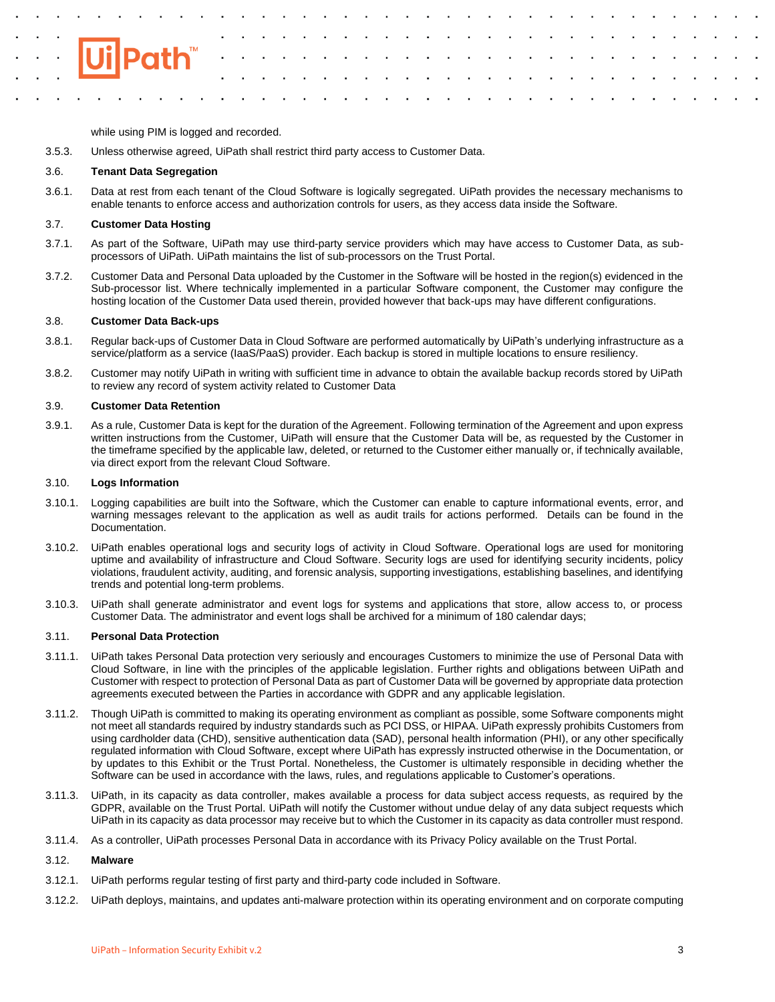while using PIM is logged and recorded.

3.5.3. Unless otherwise agreed, UiPath shall restrict third party access to Customer Data.

# 3.6. **Tenant Data Segregation**

3.6.1. Data at rest from each tenant of the Cloud Software is logically segregated. UiPath provides the necessary mechanisms to enable tenants to enforce access and authorization controls for users, as they access data inside the Software.

# 3.7. **Customer Data Hosting**

- 3.7.1. As part of the Software, UiPath may use third-party service providers which may have access to Customer Data, as subprocessors of UiPath. UiPath maintains the list of sub-processors on the Trust Portal.
- 3.7.2. Customer Data and Personal Data uploaded by the Customer in the Software will be hosted in the region(s) evidenced in the Sub-processor list. Where technically implemented in a particular Software component, the Customer may configure the hosting location of the Customer Data used therein, provided however that back-ups may have different configurations.

# 3.8. **Customer Data Back-ups**

- 3.8.1. Regular back-ups of Customer Data in Cloud Software are performed automatically by UiPath's underlying infrastructure as a service/platform as a service (IaaS/PaaS) provider. Each backup is stored in multiple locations to ensure resiliency.
- 3.8.2. Customer may notify UiPath in writing with sufficient time in advance to obtain the available backup records stored by UiPath to review any record of system activity related to Customer Data

## 3.9. **Customer Data Retention**

3.9.1. As a rule, Customer Data is kept for the duration of the Agreement. Following termination of the Agreement and upon express written instructions from the Customer, UiPath will ensure that the Customer Data will be, as requested by the Customer in the timeframe specified by the applicable law, deleted, or returned to the Customer either manually or, if technically available, via direct export from the relevant Cloud Software.

## 3.10. **Logs Information**

- 3.10.1. Logging capabilities are built into the Software, which the Customer can enable to capture informational events, error, and warning messages relevant to the application as well as audit trails for actions performed. Details can be found in the Documentation.
- 3.10.2. UiPath enables operational logs and security logs of activity in Cloud Software. Operational logs are used for monitoring uptime and availability of infrastructure and Cloud Software. Security logs are used for identifying security incidents, policy violations, fraudulent activity, auditing, and forensic analysis, supporting investigations, establishing baselines, and identifying trends and potential long-term problems.
- 3.10.3. UiPath shall generate administrator and event logs for systems and applications that store, allow access to, or process Customer Data. The administrator and event logs shall be archived for a minimum of 180 calendar days;

# 3.11. **Personal Data Protection**

- 3.11.1. UiPath takes Personal Data protection very seriously and encourages Customers to minimize the use of Personal Data with Cloud Software, in line with the principles of the applicable legislation. Further rights and obligations between UiPath and Customer with respect to protection of Personal Data as part of Customer Data will be governed by appropriate data protection agreements executed between the Parties in accordance with GDPR and any applicable legislation.
- 3.11.2. Though UiPath is committed to making its operating environment as compliant as possible, some Software components might not meet all standards required by industry standards such as PCI DSS, or HIPAA. UiPath expressly prohibits Customers from using cardholder data (CHD), sensitive authentication data (SAD), personal health information (PHI), or any other specifically regulated information with Cloud Software, except where UiPath has expressly instructed otherwise in the Documentation, or by updates to this Exhibit or the Trust Portal. Nonetheless, the Customer is ultimately responsible in deciding whether the Software can be used in accordance with the laws, rules, and regulations applicable to Customer's operations.
- 3.11.3. UiPath, in its capacity as data controller, makes available a process for data subject access requests, as required by the GDPR, available on the Trust Portal. UiPath will notify the Customer without undue delay of any data subject requests which UiPath in its capacity as data processor may receive but to which the Customer in its capacity as data controller must respond.
- 3.11.4. As a controller, UiPath processes Personal Data in accordance with its Privacy Policy available on the Trust Portal.

# 3.12. **Malware**

- 3.12.1. UiPath performs regular testing of first party and third-party code included in Software.
- 3.12.2. UiPath deploys, maintains, and updates anti-malware protection within its operating environment and on corporate computing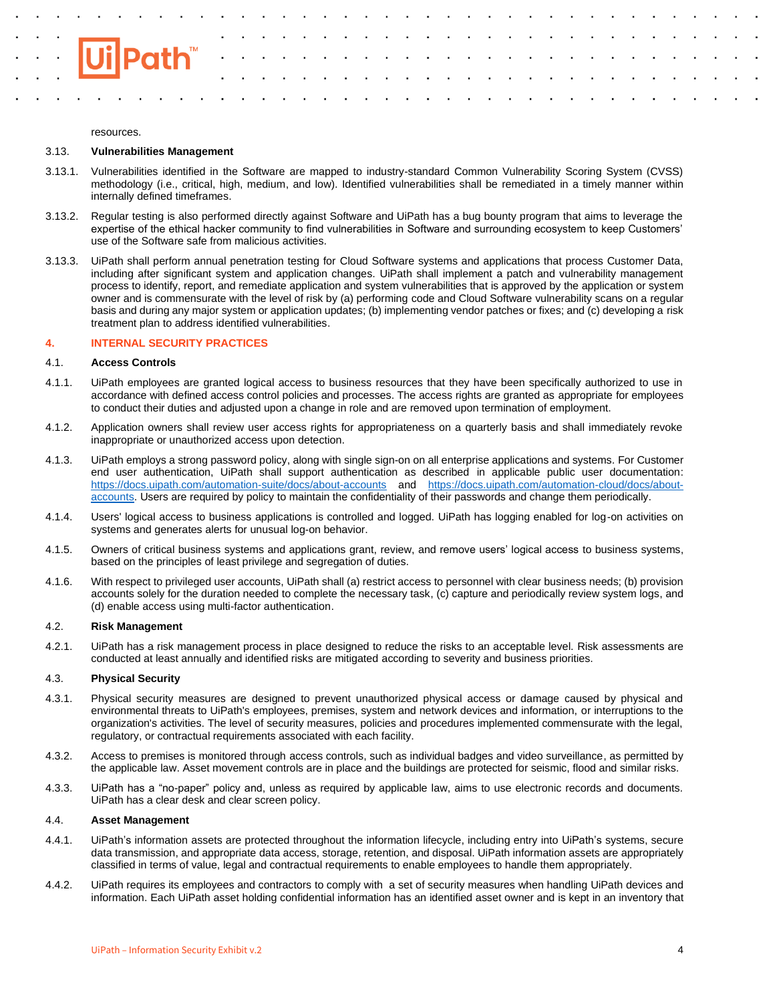

### resources.

## 3.13. **Vulnerabilities Management**

- 3.13.1. Vulnerabilities identified in the Software are mapped to industry-standard Common Vulnerability Scoring System (CVSS) methodology (i.e., critical, high, medium, and low). Identified vulnerabilities shall be remediated in a timely manner within internally defined timeframes.
- 3.13.2. Regular testing is also performed directly against Software and UiPath has a bug bounty program that aims to leverage the expertise of the ethical hacker community to find vulnerabilities in Software and surrounding ecosystem to keep Customers' use of the Software safe from malicious activities.
- 3.13.3. UiPath shall perform annual penetration testing for Cloud Software systems and applications that process Customer Data, including after significant system and application changes. UiPath shall implement a patch and vulnerability management process to identify, report, and remediate application and system vulnerabilities that is approved by the application or system owner and is commensurate with the level of risk by (a) performing code and Cloud Software vulnerability scans on a regular basis and during any major system or application updates; (b) implementing vendor patches or fixes; and (c) developing a risk treatment plan to address identified vulnerabilities.

# **4. INTERNAL SECURITY PRACTICES**

## 4.1. **Access Controls**

- 4.1.1. UiPath employees are granted logical access to business resources that they have been specifically authorized to use in accordance with defined access control policies and processes. The access rights are granted as appropriate for employees to conduct their duties and adjusted upon a change in role and are removed upon termination of employment.
- 4.1.2. Application owners shall review user access rights for appropriateness on a quarterly basis and shall immediately revoke inappropriate or unauthorized access upon detection.
- 4.1.3. UiPath employs a strong password policy, along with single sign-on on all enterprise applications and systems. For Customer end user authentication, UiPath shall support authentication as described in applicable public user documentation: <https://docs.uipath.com/automation-suite/docs/about-accounts> and [https://docs.uipath.com/automation-cloud/docs/about](https://docs.uipath.com/automation-cloud/docs/about-accounts)[accounts.](https://docs.uipath.com/automation-cloud/docs/about-accounts) Users are required by policy to maintain the confidentiality of their passwords and change them periodically.
- 4.1.4. Users' logical access to business applications is controlled and logged. UiPath has logging enabled for log-on activities on systems and generates alerts for unusual log-on behavior.
- 4.1.5. Owners of critical business systems and applications grant, review, and remove users' logical access to business systems, based on the principles of least privilege and segregation of duties.
- 4.1.6. With respect to privileged user accounts, UiPath shall (a) restrict access to personnel with clear business needs; (b) provision accounts solely for the duration needed to complete the necessary task, (c) capture and periodically review system logs, and (d) enable access using multi-factor authentication.

# 4.2. **Risk Management**

4.2.1. UiPath has a risk management process in place designed to reduce the risks to an acceptable level. Risk assessments are conducted at least annually and identified risks are mitigated according to severity and business priorities.

# 4.3. **Physical Security**

- 4.3.1. Physical security measures are designed to prevent unauthorized physical access or damage caused by physical and environmental threats to UiPath's employees, premises, system and network devices and information, or interruptions to the organization's activities. The level of security measures, policies and procedures implemented commensurate with the legal, regulatory, or contractual requirements associated with each facility.
- 4.3.2. Access to premises is monitored through access controls, such as individual badges and video surveillance, as permitted by the applicable law. Asset movement controls are in place and the buildings are protected for seismic, flood and similar risks.
- 4.3.3. UiPath has a "no-paper" policy and, unless as required by applicable law, aims to use electronic records and documents. UiPath has a clear desk and clear screen policy.

# 4.4. **Asset Management**

- 4.4.1. UiPath's information assets are protected throughout the information lifecycle, including entry into UiPath's systems, secure data transmission, and appropriate data access, storage, retention, and disposal. UiPath information assets are appropriately classified in terms of value, legal and contractual requirements to enable employees to handle them appropriately.
- 4.4.2. UiPath requires its employees and contractors to comply with a set of security measures when handling UiPath devices and information. Each UiPath asset holding confidential information has an identified asset owner and is kept in an inventory that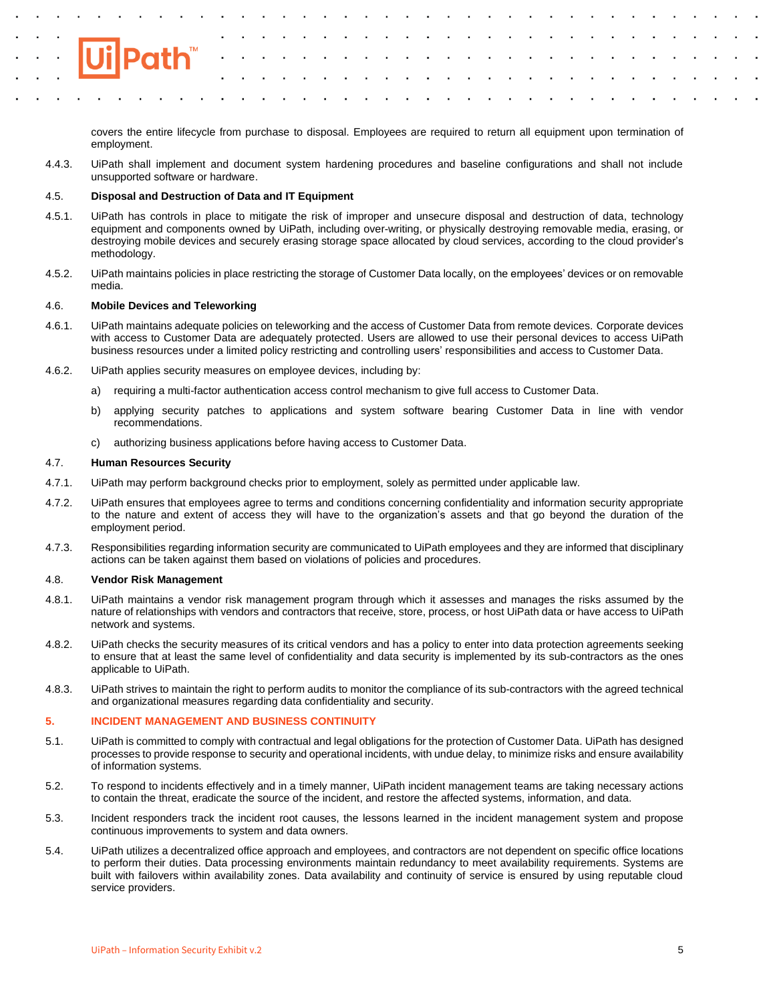

covers the entire lifecycle from purchase to disposal. Employees are required to return all equipment upon termination of employment.

4.4.3. UiPath shall implement and document system hardening procedures and baseline configurations and shall not include unsupported software or hardware.

# 4.5. **Disposal and Destruction of Data and IT Equipment**

- 4.5.1. UiPath has controls in place to mitigate the risk of improper and unsecure disposal and destruction of data, technology equipment and components owned by UiPath, including over-writing, or physically destroying removable media, erasing, or destroying mobile devices and securely erasing storage space allocated by cloud services, according to the cloud provider's methodology.
- 4.5.2. UiPath maintains policies in place restricting the storage of Customer Data locally, on the employees' devices or on removable media.

# 4.6. **Mobile Devices and Teleworking**

- 4.6.1. UiPath maintains adequate policies on teleworking and the access of Customer Data from remote devices. Corporate devices with access to Customer Data are adequately protected. Users are allowed to use their personal devices to access UiPath business resources under a limited policy restricting and controlling users' responsibilities and access to Customer Data.
- 4.6.2. UiPath applies security measures on employee devices, including by:
	- a) requiring a multi-factor authentication access control mechanism to give full access to Customer Data.
	- b) applying security patches to applications and system software bearing Customer Data in line with vendor recommendations.
	- c) authorizing business applications before having access to Customer Data.

## 4.7. **Human Resources Security**

- 4.7.1. UiPath may perform background checks prior to employment, solely as permitted under applicable law.
- 4.7.2. UiPath ensures that employees agree to terms and conditions concerning confidentiality and information security appropriate to the nature and extent of access they will have to the organization's assets and that go beyond the duration of the employment period.
- 4.7.3. Responsibilities regarding information security are communicated to UiPath employees and they are informed that disciplinary actions can be taken against them based on violations of policies and procedures.

### 4.8. **Vendor Risk Management**

- 4.8.1. UiPath maintains a vendor risk management program through which it assesses and manages the risks assumed by the nature of relationships with vendors and contractors that receive, store, process, or host UiPath data or have access to UiPath network and systems.
- 4.8.2. UiPath checks the security measures of its critical vendors and has a policy to enter into data protection agreements seeking to ensure that at least the same level of confidentiality and data security is implemented by its sub-contractors as the ones applicable to UiPath.
- 4.8.3. UiPath strives to maintain the right to perform audits to monitor the compliance of its sub-contractors with the agreed technical and organizational measures regarding data confidentiality and security.

## **5. INCIDENT MANAGEMENT AND BUSINESS CONTINUITY**

- 5.1. UiPath is committed to comply with contractual and legal obligations for the protection of Customer Data. UiPath has designed processes to provide response to security and operational incidents, with undue delay, to minimize risks and ensure availability of information systems.
- 5.2. To respond to incidents effectively and in a timely manner, UiPath incident management teams are taking necessary actions to contain the threat, eradicate the source of the incident, and restore the affected systems, information, and data.
- 5.3. Incident responders track the incident root causes, the lessons learned in the incident management system and propose continuous improvements to system and data owners.
- 5.4. UiPath utilizes a decentralized office approach and employees, and contractors are not dependent on specific office locations to perform their duties. Data processing environments maintain redundancy to meet availability requirements. Systems are built with failovers within availability zones. Data availability and continuity of service is ensured by using reputable cloud service providers.